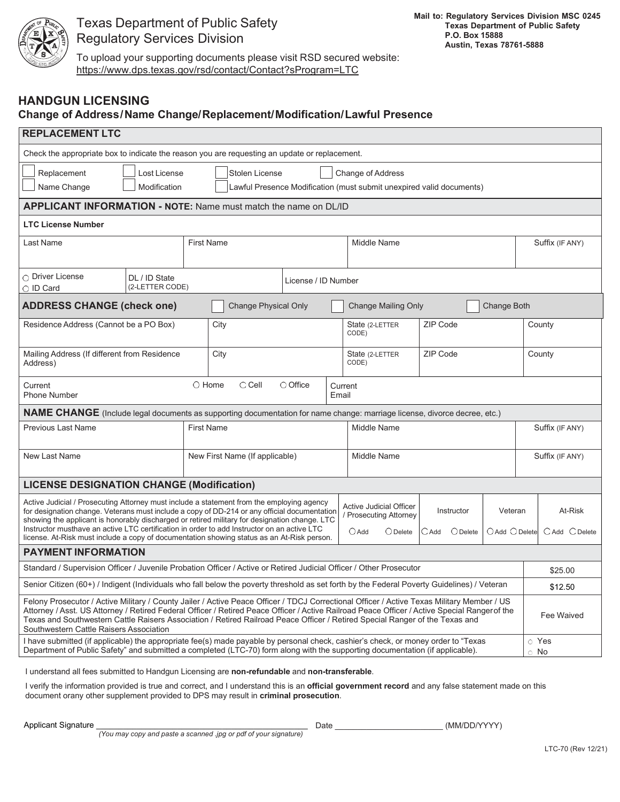

## Texas Department of Public Safety Regulatory Services Division

To upload your supporting documents please visit RSD secured website: https://www.dps.texas.gov/rsd/contact/Contact?sProgram=LTC

## **HANDGUN LICENSING**

## **Change of Address / Name Change/Replacement/Modification/Lawful Presence**

| <b>REPLACEMENT LTC</b>                                                                                                                                                                                                                                                                                                                                                                                                                                                                  |                                |                                                                                                             |  |                                                                                                                                                  |  |          |                               |        |                               |             |         |
|-----------------------------------------------------------------------------------------------------------------------------------------------------------------------------------------------------------------------------------------------------------------------------------------------------------------------------------------------------------------------------------------------------------------------------------------------------------------------------------------|--------------------------------|-------------------------------------------------------------------------------------------------------------|--|--------------------------------------------------------------------------------------------------------------------------------------------------|--|----------|-------------------------------|--------|-------------------------------|-------------|---------|
| Check the appropriate box to indicate the reason you are requesting an update or replacement.                                                                                                                                                                                                                                                                                                                                                                                           |                                |                                                                                                             |  |                                                                                                                                                  |  |          |                               |        |                               |             |         |
| Replacement<br>Lost License<br>Name Change<br>Modification                                                                                                                                                                                                                                                                                                                                                                                                                              |                                | Stolen License<br>Change of Address<br>Lawful Presence Modification (must submit unexpired valid documents) |  |                                                                                                                                                  |  |          |                               |        |                               |             |         |
| <b>APPLICANT INFORMATION - NOTE: Name must match the name on DL/ID</b>                                                                                                                                                                                                                                                                                                                                                                                                                  |                                |                                                                                                             |  |                                                                                                                                                  |  |          |                               |        |                               |             |         |
| <b>LTC License Number</b>                                                                                                                                                                                                                                                                                                                                                                                                                                                               |                                |                                                                                                             |  |                                                                                                                                                  |  |          |                               |        |                               |             |         |
| Last Name                                                                                                                                                                                                                                                                                                                                                                                                                                                                               | <b>First Name</b>              |                                                                                                             |  | <b>Middle Name</b>                                                                                                                               |  |          |                               |        | Suffix (IF ANY)               |             |         |
| O Driver License<br>DL / ID State<br>(2-LETTER CODE)<br>O ID Card                                                                                                                                                                                                                                                                                                                                                                                                                       | License / ID Number            |                                                                                                             |  |                                                                                                                                                  |  |          |                               |        |                               |             |         |
| <b>ADDRESS CHANGE (check one)</b>                                                                                                                                                                                                                                                                                                                                                                                                                                                       | <b>Change Physical Only</b>    |                                                                                                             |  | <b>Change Mailing Only</b><br>Change Both                                                                                                        |  |          |                               |        |                               |             |         |
| Residence Address (Cannot be a PO Box)                                                                                                                                                                                                                                                                                                                                                                                                                                                  | City                           |                                                                                                             |  | ZIP Code<br>State (2-LETTER<br>CODE)                                                                                                             |  |          |                               | County |                               |             |         |
| Mailing Address (If different from Residence<br>Address)                                                                                                                                                                                                                                                                                                                                                                                                                                | City                           |                                                                                                             |  | State (2-LETTER<br>CODE)                                                                                                                         |  | ZIP Code |                               |        | County                        |             |         |
| $\bigcirc$ Cell<br>$\bigcirc$ Office<br>$\bigcirc$ Home<br>Current<br>Current<br><b>Phone Number</b><br>Email                                                                                                                                                                                                                                                                                                                                                                           |                                |                                                                                                             |  |                                                                                                                                                  |  |          |                               |        |                               |             |         |
| <b>NAME CHANGE</b> (Include legal documents as supporting documentation for name change: marriage license, divorce decree, etc.)                                                                                                                                                                                                                                                                                                                                                        |                                |                                                                                                             |  |                                                                                                                                                  |  |          |                               |        |                               |             |         |
| Previous Last Name                                                                                                                                                                                                                                                                                                                                                                                                                                                                      | <b>First Name</b>              |                                                                                                             |  | Middle Name                                                                                                                                      |  |          |                               |        | Suffix (IF ANY)               |             |         |
| New Last Name                                                                                                                                                                                                                                                                                                                                                                                                                                                                           | New First Name (If applicable) |                                                                                                             |  | <b>Middle Name</b>                                                                                                                               |  |          |                               |        | Suffix (IF ANY)               |             |         |
| <b>LICENSE DESIGNATION CHANGE (Modification)</b>                                                                                                                                                                                                                                                                                                                                                                                                                                        |                                |                                                                                                             |  |                                                                                                                                                  |  |          |                               |        |                               |             |         |
| Active Judicial / Prosecuting Attorney must include a statement from the employing agency<br>for designation change. Veterans must include a copy of DD-214 or any official documentation<br>showing the applicant is honorably discharged or retired military for designation change. LTC<br>Instructor musthave an active LTC certification in order to add Instructor on an active LTC<br>license. At-Risk must include a copy of documentation showing status as an At-Risk person. |                                |                                                                                                             |  | <b>Active Judicial Officer</b><br>Instructor<br>/ Prosecuting Attorney<br>$\bigcirc$ Add<br>$\bigcirc$ Delete<br>$\bigcirc$ Delete<br>$\cup$ Add |  |          | Veteran<br>$O$ Add $O$ Delete |        | At-Risk<br>$O$ Add $O$ Delete |             |         |
| <b>PAYMENT INFORMATION</b>                                                                                                                                                                                                                                                                                                                                                                                                                                                              |                                |                                                                                                             |  |                                                                                                                                                  |  |          |                               |        |                               |             |         |
| Standard / Supervision Officer / Juvenile Probation Officer / Active or Retired Judicial Officer / Other Prosecutor                                                                                                                                                                                                                                                                                                                                                                     |                                |                                                                                                             |  |                                                                                                                                                  |  |          |                               |        |                               | \$25.00     |         |
| Senior Citizen (60+) / Indigent (Individuals who fall below the poverty threshold as set forth by the Federal Poverty Guidelines) / Veteran                                                                                                                                                                                                                                                                                                                                             |                                |                                                                                                             |  |                                                                                                                                                  |  |          |                               |        |                               |             | \$12.50 |
| Felony Prosecutor / Active Military / County Jailer / Active Peace Officer / TDCJ Correctional Officer / Active Texas Military Member / US<br>Attorney / Asst. US Attorney / Retired Federal Officer / Retired Peace Officer / Active Railroad Peace Officer / Active Special Rangerof the<br>Texas and Southwestern Cattle Raisers Association / Retired Railroad Peace Officer / Retired Special Ranger of the Texas and<br>Southwestern Cattle Raisers Association                   |                                |                                                                                                             |  |                                                                                                                                                  |  |          |                               |        |                               | Fee Waived  |         |
| I have submitted (if applicable) the appropriate fee(s) made payable by personal check, cashier's check, or money order to "Texas<br>Department of Public Safety" and submitted a completed (LTC-70) form along with the supporting documentation (if applicable).                                                                                                                                                                                                                      |                                |                                                                                                             |  |                                                                                                                                                  |  |          |                               |        | $\circ$ No                    | $\circ$ Yes |         |

I understand all fees submitted to Handgun Licensing are **non-refundable** and **non-transferable**.

I verify the information provided is true and correct, and I understand this is an **official government record** and any false statement made on this document orany other supplement provided to DPS may result in **criminal prosecution**.

Applicant Signature \_\_\_\_\_\_\_\_\_\_\_\_\_\_\_\_\_\_\_\_\_\_\_\_\_\_\_\_\_\_\_\_\_\_\_\_\_\_\_\_\_\_\_\_\_\_\_ Date \_\_\_\_\_\_\_\_\_\_\_\_\_\_\_\_\_\_\_\_\_\_\_\_ (MM/DD/YYYY)